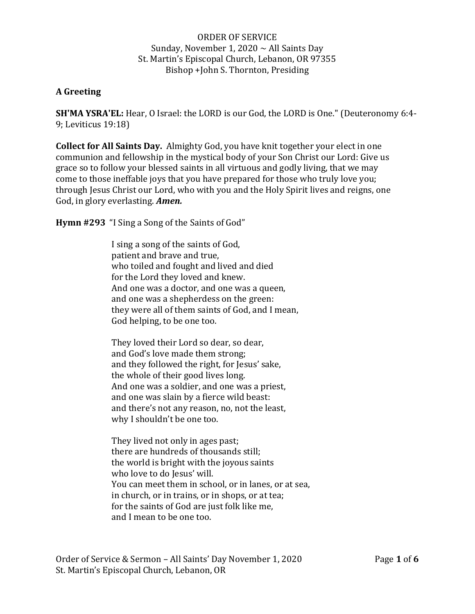ORDER OF SERVICE Sunday, November 1, 2020  $\sim$  All Saints Day St. Martin's Episcopal Church, Lebanon, OR 97355 Bishop +John S. Thornton, Presiding

## **A Greeting**

**SH'MA YSRA'EL:** Hear, O Israel: the LORD is our God, the LORD is One." (Deuteronomy 6:4- 9; Leviticus 19:18)

**Collect for All Saints Day.** Almighty God, you have knit together your elect in one communion and fellowship in the mystical body of your Son Christ our Lord: Give us grace so to follow your blessed saints in all virtuous and godly living, that we may come to those ineffable joys that you have prepared for those who truly love you; through Jesus Christ our Lord, who with you and the Holy Spirit lives and reigns, one God, in glory everlasting. *Amen.*

**Hymn #293** "I Sing a Song of the Saints of God"

I sing a song of the saints of God, patient and brave and true, who toiled and fought and lived and died for the Lord they loved and knew. And one was a doctor, and one was a queen, and one was a shepherdess on the green: they were all of them saints of God, and I mean, God helping, to be one too.

They loved their Lord so dear, so dear, and God's love made them strong; and they followed the right, for Jesus' sake, the whole of their good lives long. And one was a soldier, and one was a priest, and one was slain by a fierce wild beast: and there's not any reason, no, not the least, why I shouldn't be one too.

They lived not only in ages past; there are hundreds of thousands still; the world is bright with the joyous saints who love to do Jesus' will. You can meet them in school, or in lanes, or at sea, in church, or in trains, or in shops, or at tea; for the saints of God are just folk like me, and I mean to be one too.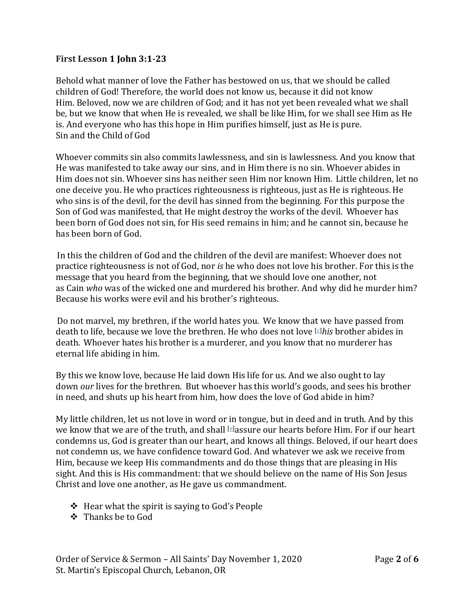## **First Lesson 1 John 3:1-23**

Behold what manner of love the Father has bestowed on us, that we should be called children of God! Therefore, the world does not know us, because it did not know Him. Beloved, now we are children of God; and it has not yet been revealed what we shall be, but we know that when He is revealed, we shall be like Him, for we shall see Him as He is. And everyone who has this hope in Him purifies himself, just as He is pure. Sin and the Child of God

Whoever commits sin also commits lawlessness, and sin is lawlessness. And you know that He was manifested to take away our sins, and in Him there is no sin. Whoever abides in Him does not sin. Whoever sins has neither seen Him nor known Him. Little children, let no one deceive you. He who practices righteousness is righteous, just as He is righteous.He who sins is of the devil, for the devil has sinned from the beginning. For this purpose the Son of God was manifested, that He might destroy the works of the devil. Whoever has been born of God does not sin, for His seed remains in him; and he cannot sin, because he has been born of God.

In this the children of God and the children of the devil are manifest: Whoever does not practice righteousness is not of God, nor *is* he who does not love his brother. For this is the message that you heard from the beginning, that we should love one another, not as Cain *who* was of the wicked one and murdered his brother. And why did he murder him? Because his works were evil and his brother's righteous.

Do not marvel, my brethren, if the world hates you. We know that we have passed from death to life, because we love the brethren. He who does not love [\[c\]](https://www.biblegateway.com/passage/?search=1%20John%203:1-23&version=NKJV#fen-NKJV-30594c)*his* brother abides in death. Whoever hates his brother is a murderer, and you know that no murderer has eternal life abiding in him.

By this we know love, because He laid down His life for us. And we also ought to lay down *our* lives for the brethren. But whoever has this world's goods, and sees his brother in need, and shuts up his heart from him, how does the love of God abide in him?

My little children, let us not love in word or in tongue, but in deed and in truth. And by this we know that we are of the truth, and shall [\[e\]](https://www.biblegateway.com/passage/?search=1%20John%203:1-23&version=NKJV#fen-NKJV-30599e) assure our hearts before Him. For if our heart condemns us, God is greater than our heart, and knows all things. Beloved, if our heart does not condemn us, we have confidence toward God. And whatever we ask we receive from Him, because we keep His commandments and do those things that are pleasing in His sight. And this is His commandment: that we should believe on the name of His Son Jesus Christ and love one another, as He gave us commandment.

- ❖ Hear what the spirit is saying to God's People
- ❖ Thanks be to God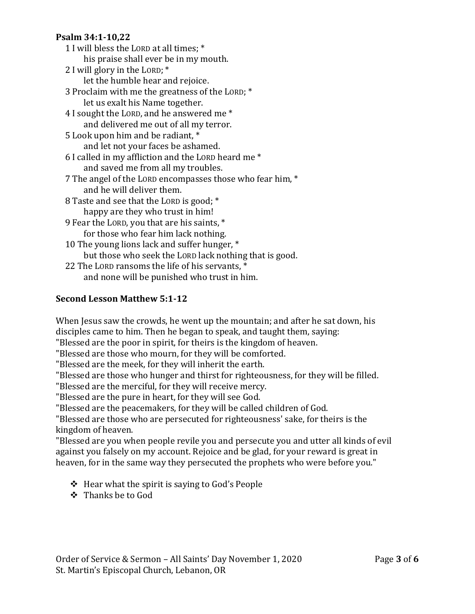### **Psalm 34:1-10,22**

- 1 I will bless the LORD at all times; \* his praise shall ever be in my mouth. 2 I will glory in the LORD; \* let the humble hear and rejoice. 3 Proclaim with me the greatness of the LORD; \* let us exalt his Name together. 4 I sought the LORD, and he answered me \* and delivered me out of all my terror. 5 Look upon him and be radiant, \* and let not your faces be ashamed. 6 I called in my affliction and the LORD heard me \* and saved me from all my troubles. 7 The angel of the LORD encompasses those who fear him, \* and he will deliver them. 8 Taste and see that the LORD is good; \* happy are they who trust in him! 9 Fear the LORD, you that are his saints, \* for those who fear him lack nothing. 10 The young lions lack and suffer hunger, \* but those who seek the LORD lack nothing that is good.
- 22 The LORD ransoms the life of his servants, \* and none will be punished who trust in him.

# **Second Lesson Matthew 5:1-12**

When Jesus saw the crowds, he went up the mountain; and after he sat down, his disciples came to him. Then he began to speak, and taught them, saying: "Blessed are the poor in spirit, for theirs is the kingdom of heaven.

"Blessed are those who mourn, for they will be comforted.

"Blessed are the meek, for they will inherit the earth.

"Blessed are those who hunger and thirst for righteousness, for they will be filled.

"Blessed are the merciful, for they will receive mercy.

"Blessed are the pure in heart, for they will see God.

"Blessed are the peacemakers, for they will be called children of God.

"Blessed are those who are persecuted for righteousness' sake, for theirs is the kingdom of heaven.

"Blessed are you when people revile you and persecute you and utter all kinds of evil against you falsely on my account. Rejoice and be glad, for your reward is great in heaven, for in the same way they persecuted the prophets who were before you."

- ❖ Hear what the spirit is saying to God's People
- ❖ Thanks be to God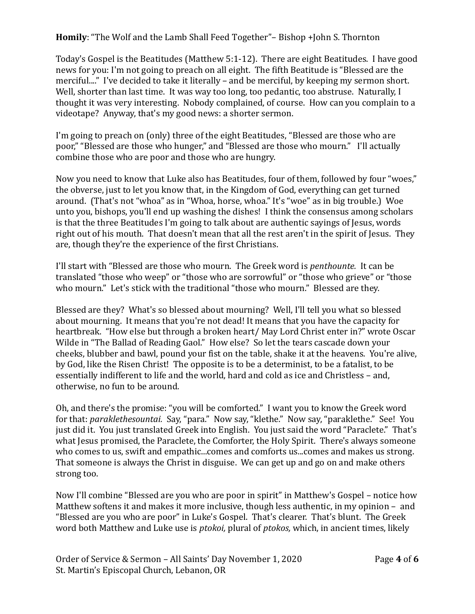**Homily**: "The Wolf and the Lamb Shall Feed Together"– Bishop +John S. Thornton

Today's Gospel is the Beatitudes (Matthew 5:1-12). There are eight Beatitudes. I have good news for you: I'm not going to preach on all eight. The fifth Beatitude is "Blessed are the merciful...." I've decided to take it literally – and be merciful, by keeping my sermon short. Well, shorter than last time. It was way too long, too pedantic, too abstruse. Naturally, I thought it was very interesting. Nobody complained, of course. How can you complain to a videotape? Anyway, that's my good news: a shorter sermon.

I'm going to preach on (only) three of the eight Beatitudes, "Blessed are those who are poor," "Blessed are those who hunger," and "Blessed are those who mourn." I'll actually combine those who are poor and those who are hungry.

Now you need to know that Luke also has Beatitudes, four of them, followed by four "woes," the obverse, just to let you know that, in the Kingdom of God, everything can get turned around. (That's not "whoa" as in "Whoa, horse, whoa." It's "woe" as in big trouble.) Woe unto you, bishops, you'll end up washing the dishes! I think the consensus among scholars is that the three Beatitudes I'm going to talk about are authentic sayings of Jesus, words right out of his mouth. That doesn't mean that all the rest aren't in the spirit of Jesus. They are, though they're the experience of the first Christians.

I'll start with "Blessed are those who mourn. The Greek word is *penthounte.* It can be translated "those who weep" or "those who are sorrowful" or "those who grieve" or "those who mourn." Let's stick with the traditional "those who mourn." Blessed are they.

Blessed are they? What's so blessed about mourning? Well, I'll tell you what so blessed about mourning. It means that you're not dead! It means that you have the capacity for heartbreak. "How else but through a broken heart/ May Lord Christ enter in?" wrote Oscar Wilde in "The Ballad of Reading Gaol." How else? So let the tears cascade down your cheeks, blubber and bawl, pound your fist on the table, shake it at the heavens. You're alive, by God, like the Risen Christ! The opposite is to be a determinist, to be a fatalist, to be essentially indifferent to life and the world, hard and cold as ice and Christless – and, otherwise, no fun to be around.

Oh, and there's the promise: "you will be comforted." I want you to know the Greek word for that: *paraklethesountai.* Say, "para." Now say, "klethe." Now say, "paraklethe." See! You just did it. You just translated Greek into English. You just said the word "Paraclete." That's what Jesus promised, the Paraclete, the Comforter, the Holy Spirit. There's always someone who comes to us, swift and empathic...comes and comforts us...comes and makes us strong. That someone is always the Christ in disguise. We can get up and go on and make others strong too.

Now I'll combine "Blessed are you who are poor in spirit" in Matthew's Gospel – notice how Matthew softens it and makes it more inclusive, though less authentic, in my opinion – and "Blessed are you who are poor" in Luke's Gospel. That's clearer. That's blunt. The Greek word both Matthew and Luke use is *ptokoi,* plural of *ptokos,* which, in ancient times, likely

Order of Service & Sermon – All Saints' Day November 1, 2020 Page **4** of **6** St. Martin's Episcopal Church, Lebanon, OR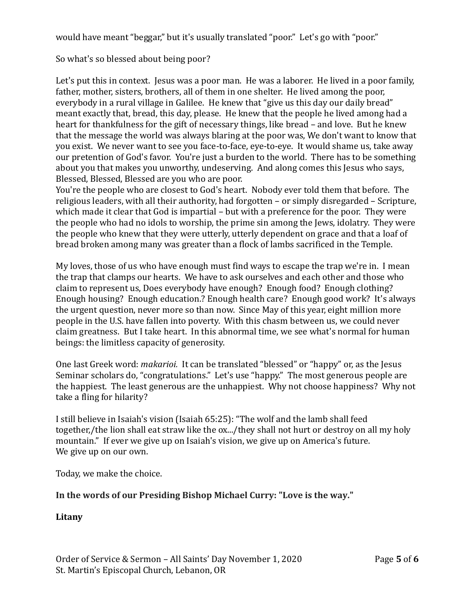would have meant "beggar," but it's usually translated "poor." Let's go with "poor."

So what's so blessed about being poor?

Let's put this in context. Jesus was a poor man. He was a laborer. He lived in a poor family, father, mother, sisters, brothers, all of them in one shelter. He lived among the poor, everybody in a rural village in Galilee. He knew that "give us this day our daily bread" meant exactly that, bread, this day, please. He knew that the people he lived among had a heart for thankfulness for the gift of necessary things, like bread – and love. But he knew that the message the world was always blaring at the poor was, We don't want to know that you exist. We never want to see you face-to-face, eye-to-eye. It would shame us, take away our pretention of God's favor. You're just a burden to the world. There has to be something about you that makes you unworthy, undeserving. And along comes this Jesus who says, Blessed, Blessed, Blessed are you who are poor.

You're the people who are closest to God's heart. Nobody ever told them that before. The religious leaders, with all their authority, had forgotten – or simply disregarded – Scripture, which made it clear that God is impartial – but with a preference for the poor. They were the people who had no idols to worship, the prime sin among the Jews, idolatry. They were the people who knew that they were utterly, utterly dependent on grace and that a loaf of bread broken among many was greater than a flock of lambs sacrificed in the Temple.

My loves, those of us who have enough must find ways to escape the trap we're in. I mean the trap that clamps our hearts. We have to ask ourselves and each other and those who claim to represent us, Does everybody have enough? Enough food? Enough clothing? Enough housing? Enough education.? Enough health care? Enough good work? It's always the urgent question, never more so than now. Since May of this year, eight million more people in the U.S. have fallen into poverty. With this chasm between us, we could never claim greatness. But I take heart. In this abnormal time, we see what's normal for human beings: the limitless capacity of generosity.

One last Greek word: *makarioi.* It can be translated "blessed" or "happy" or, as the Jesus Seminar scholars do, "congratulations." Let's use "happy." The most generous people are the happiest. The least generous are the unhappiest. Why not choose happiness? Why not take a fling for hilarity?

I still believe in Isaiah's vision (Isaiah 65:25): "The wolf and the lamb shall feed together,/the lion shall eat straw like the ox.../they shall not hurt or destroy on all my holy mountain." If ever we give up on Isaiah's vision, we give up on America's future. We give up on our own.

Today, we make the choice.

# **In the words of our Presiding Bishop Michael Curry: "Love is the way."**

### **Litany**